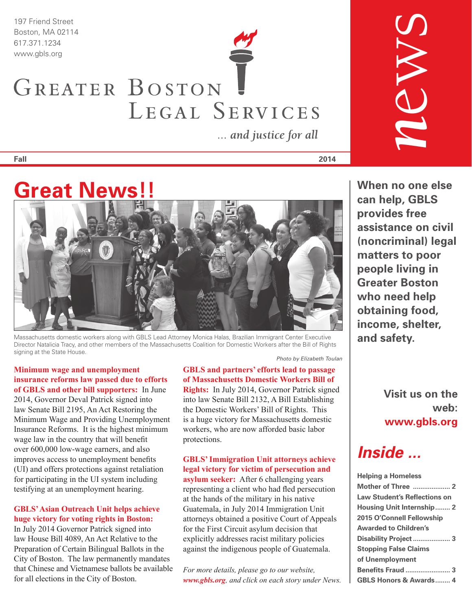*197 Friend Street Boston, MA 02114 617.371.1234*

# *www.gbls.org* GREATER BOSTON LEGAL SERVICES

... and justice for all

**Fall 2014**



*Massachusetts domestic workers along with GBLS Lead Attorney Monica Halas, Brazilian Immigrant Center Executive Director Natalicia Tracy, and other members of the Massachusetts Coalition for Domestic Workers after the Bill of Rights signing at the State House.*

**Minimum wage and unemployment insurance reforms law passed due to efforts of GBLS and other bill supporters:** In June

2014, Governor Deval Patrick signed into law Senate Bill 2195, An Act Restoring the Minimum Wage and Providing Unemployment Insurance Reforms. It is the highest minimum wage law in the country that will benefit over 600,000 low-wage earners, and also improves access to unemployment benefits (UI) and offers protections against retaliation for participating in the UI system including testifying at an unemployment hearing.

#### **GBLS' Asian Outreach Unit helps achieve huge victory for voting rights in Boston:**

In July 2014 Governor Patrick signed into law House Bill 4089, An Act Relative to the Preparation of Certain Bilingual Ballots in the City of Boston. The law permanently mandates that Chinese and Vietnamese ballots be available for all elections in the City of Boston.

*Photo by Elizabeth Toulan*

**GBLS and partners' efforts lead to passage of Massachusetts Domestic Workers Bill of Rights:** In July 2014, Governor Patrick signed into law Senate Bill 2132, A Bill Establishing the Domestic Workers' Bill of Rights. This is a huge victory for Massachusetts domestic workers, who are now afforded basic labor protections.

**GBLS' Immigration Unit attorneys achieve legal victory for victim of persecution and asylum seeker:** After 6 challenging years representing a client who had fled persecution at the hands of the military in his native Guatemala, in July 2014 Immigration Unit attorneys obtained a positive Court of Appeals for the First Circuit asylum decision that explicitly addresses racist military policies against the indigenous people of Guatemala.

*For more details, please go to our website, www.gbls.org, and click on each story under News.*

**When no one else can help, GBLS provides free assistance on civil (noncriminal) legal matters to poor people living in Greater Boston who need help obtaining food, income, shelter, and safety.**

*n*ews

**Visit us on the web: www.gbls.org**

*Inside ...*

| <b>Helping a Homeless</b>           |
|-------------------------------------|
|                                     |
| <b>Law Student's Reflections on</b> |
| Housing Unit Internship 2           |
| 2015 O'Connell Fellowship           |
| <b>Awarded to Children's</b>        |
|                                     |
| <b>Stopping False Claims</b>        |
| of Unemployment                     |
|                                     |
| <b>GBLS Honors &amp; Awards 4</b>   |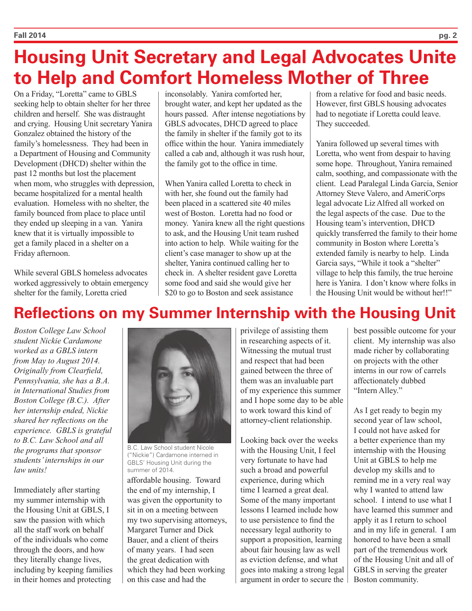## **Housing Unit Secretary and Legal Advocates Unite to Help and Comfort Homeless Mother of Three**

On a Friday, "Loretta" came to GBLS seeking help to obtain shelter for her three children and herself. She was distraught and crying. Housing Unit secretary Yanira Gonzalez obtained the history of the family's homelessness. They had been in a Department of Housing and Community Development (DHCD) shelter within the past 12 months but lost the placement when mom, who struggles with depression, became hospitalized for a mental health evaluation. Homeless with no shelter, the family bounced from place to place until they ended up sleeping in a van. Yanira knew that it is virtually impossible to get a family placed in a shelter on a Friday afternoon.

While several GBLS homeless advocates worked aggressively to obtain emergency shelter for the family, Loretta cried

inconsolably. Yanira comforted her, brought water, and kept her updated as the hours passed. After intense negotiations by GBLS advocates, DHCD agreed to place the family in shelter if the family got to its office within the hour. Yanira immediately called a cab and, although it was rush hour, the family got to the office in time.

When Yanira called Loretta to check in with her, she found out the family had been placed in a scattered site 40 miles west of Boston. Loretta had no food or money. Yanira knew all the right questions to ask, and the Housing Unit team rushed into action to help. While waiting for the client's case manager to show up at the shelter, Yanira continued calling her to check in. A shelter resident gave Loretta some food and said she would give her \$20 to go to Boston and seek assistance

from a relative for food and basic needs. However, first GBLS housing advocates had to negotiate if Loretta could leave. They succeeded.

Yanira followed up several times with Loretta, who went from despair to having some hope. Throughout, Yanira remained calm, soothing, and compassionate with the client. Lead Paralegal Linda Garcia, Senior Attorney Steve Valero, and AmeriCorps legal advocate Liz Alfred all worked on the legal aspects of the case. Due to the Housing team's intervention, DHCD quickly transferred the family to their home community in Boston where Loretta's extended family is nearby to help. Linda Garcia says, "While it took a "shelter" village to help this family, the true heroine here is Yanira. I don't know where folks in the Housing Unit would be without her!!"

### **Reflections on my Summer Internship with the Housing Unit**

*Boston College Law School student Nickie Cardamone worked as a GBLS intern from May to August 2014. Originally from Clearfield, Pennsylvania, she has a B.A. in International Studies from Boston College (B.C.). After her internship ended, Nickie shared her reflections on the experience. GBLS is grateful to B.C. Law School and all the programs that sponsor students' internships in our law units!*

Immediately after starting my summer internship with the Housing Unit at GBLS, I saw the passion with which all the staff work on behalf of the individuals who come through the doors, and how they literally change lives, including by keeping families in their homes and protecting



*B.C. Law School student Nicole ("Nickie") Cardamone interned in GBLS' Housing Unit during the summer of 2014.*

affordable housing. Toward the end of my internship, I was given the opportunity to sit in on a meeting between my two supervising attorneys, Margaret Turner and Dick Bauer, and a client of theirs of many years. I had seen the great dedication with which they had been working on this case and had the

privilege of assisting them in researching aspects of it. Witnessing the mutual trust and respect that had been gained between the three of them was an invaluable part of my experience this summer and I hope some day to be able to work toward this kind of attorney-client relationship.

Looking back over the weeks with the Housing Unit, I feel very fortunate to have had such a broad and powerful experience, during which time I learned a great deal. Some of the many important lessons I learned include how to use persistence to find the necessary legal authority to support a proposition, learning about fair housing law as well as eviction defense, and what goes into making a strong legal argument in order to secure the best possible outcome for your client. My internship was also made richer by collaborating on projects with the other interns in our row of carrels affectionately dubbed "Intern Alley."

As I get ready to begin my second year of law school, I could not have asked for a better experience than my internship with the Housing Unit at GBLS to help me develop my skills and to remind me in a very real way why I wanted to attend law school. I intend to use what I have learned this summer and apply it as I return to school and in my life in general. I am honored to have been a small part of the tremendous work of the Housing Unit and all of GBLS in serving the greater Boston community.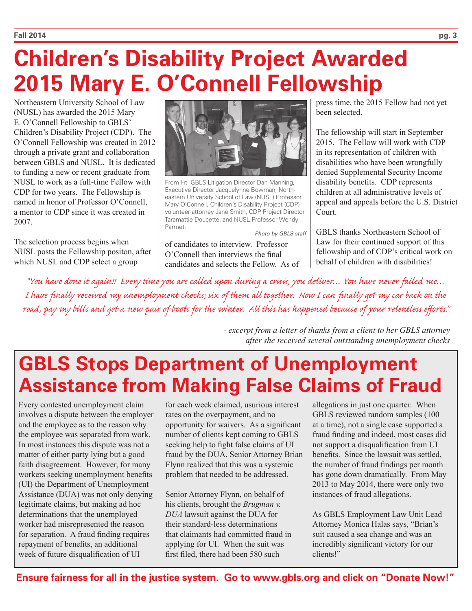## **Children's Disability Project Awarded 2015 Mary E. O'Connell Fellowship**

Northeastern University School of Law (NUSL) has awarded the 2015 Mary E. O'Connell Fellowship to GBLS' Children's Disability Project (CDP). The O'Connell Fellowship was created in 2012 through a private grant and collaboration between GBLS and NUSL. It is dedicated to funding a new or recent graduate from NUSL to work as a full-time Fellow with CDP for two years. The Fellowship is named in honor of Professor O'Connell, a mentor to CDP since it was created in 2007.

The selection process begins when NUSL posts the Fellowship positon, after which NUSL and CDP select a group



*From l-r: GBLS Litigation Director Dan Manning, Executive Director Jacquelynne Bowman, Northeastern University School of Law (NUSL) Professor Mary O'Connell, Children's Disability Project (CDP) volunteer attorney Jane Smith, CDP Project Director Taramattie Doucette, and NUSL Professor Wendy Parmet.*

*Photo by GBLS staff*

of candidates to interview. Professor O'Connell then interviews the final candidates and selects the Fellow. As of press time, the 2015 Fellow had not yet been selected.

The fellowship will start in September 2015. The Fellow will work with CDP in its representation of children with disabilities who have been wrongfully denied Supplemental Security Income disability benefits. CDP represents children at all administrative levels of appeal and appeals before the U.S. District Court.

GBLS thanks Northeastern School of Law for their continued support of this fellowship and of CDP's critical work on behalf of children with disabilities!

*"You have done it again!! Every time you are called upon during a crisis, you deliver… You have never failed me… I have finally received my unemployment checks; six of them all together. Now I can finally get my car back on the road, pay my bills and get a new pair of boots for the winter. All this has happened because of your relentless efforts."*

> *- excerpt from a letter of thanks from a client to her GBLS attorney after she received several outstanding unemployment checks*

## **GBLS Stops Department of Unemployment Assistance from Making False Claims of Fraud**

Every contested unemployment claim involves a dispute between the employer and the employee as to the reason why the employee was separated from work. In most instances this dispute was not a matter of either party lying but a good faith disagreement. However, for many workers seeking unemployment benefits (UI) the Department of Unemployment Assistance (DUA) was not only denying legitimate claims, but making ad hoc determinations that the unemployed worker had misrepresented the reason for separation. A fraud finding requires repayment of benefits, an additional week of future disqualification of UI

for each week claimed, usurious interest rates on the overpayment, and no opportunity for waivers. As a significant number of clients kept coming to GBLS seeking help to fight false claims of UI fraud by the DUA, Senior Attorney Brian Flynn realized that this was a systemic problem that needed to be addressed.

Senior Attorney Flynn, on behalf of his clients, brought the *Brugman v. DUA* lawsuit against the DUA for their standard-less determinations that claimants had committed fraud in applying for UI. When the suit was first filed, there had been 580 such

allegations in just one quarter. When GBLS reviewed random samples (100 at a time), not a single case supported a fraud finding and indeed, most cases did not support a disqualification from UI benefits. Since the lawsuit was settled, the number of fraud findings per month has gone down dramatically. From May 2013 to May 2014, there were only two instances of fraud allegations.

As GBLS Employment Law Unit Lead Attorney Monica Halas says, "Brian's suit caused a sea change and was an incredibly significant victory for our clients!"